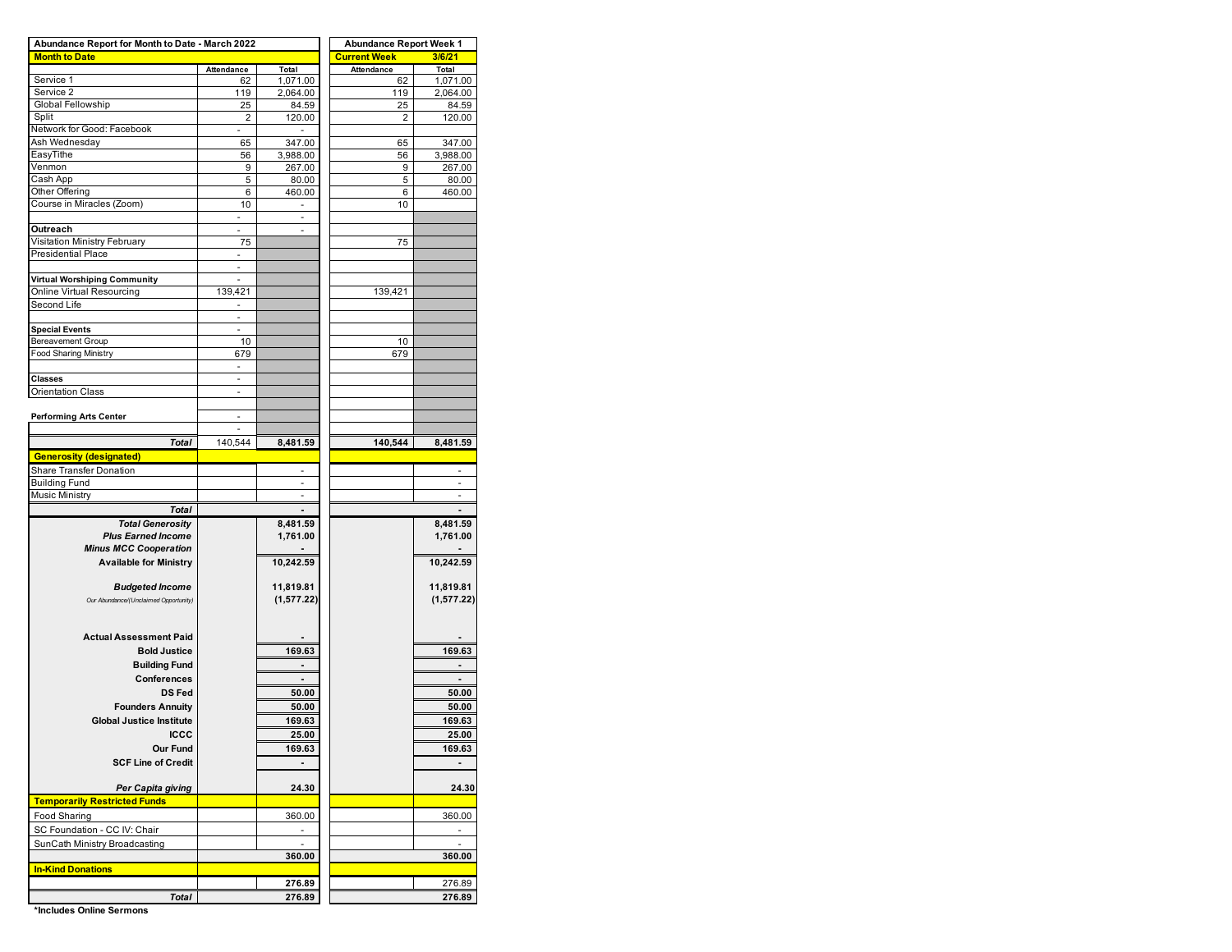| Abundance Report for Month to Date - March 2022 | <b>Abundance Report Week 1</b> |                      |                     |                      |  |  |  |
|-------------------------------------------------|--------------------------------|----------------------|---------------------|----------------------|--|--|--|
| <b>Month to Date</b>                            |                                |                      | <b>Current Week</b> | 3/6/21               |  |  |  |
|                                                 | Attendance                     | Total                | Attendance          | Total                |  |  |  |
| Service 1                                       | 62                             | 1,071.00             | 62                  | 1,071.00             |  |  |  |
| Service 2                                       | 119                            | 2,064.00             | 119                 | 2,064.00             |  |  |  |
| Global Fellowship<br>Split                      | 25                             | 84.59                | 25                  | 84.59                |  |  |  |
| Network for Good: Facebook                      | 2                              | 120.00               | 2                   | 120.00               |  |  |  |
| Ash Wednesday                                   | 65                             | 347.00               | 65                  | 347.00               |  |  |  |
| EasyTithe                                       | 56                             | 3,988.00             | 56                  | 3,988.00             |  |  |  |
| Venmon                                          | 9                              | 267.00               | 9                   | 267.00               |  |  |  |
| Cash App                                        | 5                              | 80.00                | 5                   | 80.00                |  |  |  |
| Other Offering                                  | 6                              | 460.00               | 6                   | 460.00               |  |  |  |
| Course in Miracles (Zoom)                       | 10                             |                      | 10                  |                      |  |  |  |
|                                                 |                                |                      |                     |                      |  |  |  |
| Outreach                                        | ä,                             | ä,                   |                     |                      |  |  |  |
| Visitation Ministry February                    | 75                             |                      | 75                  |                      |  |  |  |
| Presidential Place                              |                                |                      |                     |                      |  |  |  |
|                                                 | ä,                             |                      |                     |                      |  |  |  |
| Virtual Worshiping Community                    |                                |                      |                     |                      |  |  |  |
| Online Virtual Resourcing                       | 139,421                        |                      | 139,421             |                      |  |  |  |
| Second Life                                     | ٠                              |                      |                     |                      |  |  |  |
|                                                 |                                |                      |                     |                      |  |  |  |
| <b>Special Events</b>                           | L.                             |                      |                     |                      |  |  |  |
| Bereavement Group                               | 10                             |                      | 10                  |                      |  |  |  |
| <b>Food Sharing Ministry</b>                    | 679                            |                      | 679                 |                      |  |  |  |
|                                                 | L,                             |                      |                     |                      |  |  |  |
| <b>Classes</b><br><b>Orientation Class</b>      |                                |                      |                     |                      |  |  |  |
|                                                 |                                |                      |                     |                      |  |  |  |
| <b>Performing Arts Center</b>                   | ä,                             |                      |                     |                      |  |  |  |
|                                                 |                                |                      |                     |                      |  |  |  |
| Total                                           | 140,544                        | 8,481.59             | 140,544             | 8,481.59             |  |  |  |
| <b>Generosity (designated)</b>                  |                                |                      |                     |                      |  |  |  |
|                                                 |                                |                      |                     |                      |  |  |  |
| Share Transfer Donation<br><b>Building Fund</b> |                                |                      |                     |                      |  |  |  |
| <b>Music Ministry</b>                           |                                | ٠                    |                     | ٠                    |  |  |  |
| <b>Total</b>                                    |                                |                      |                     |                      |  |  |  |
| <b>Total Generosity</b>                         |                                |                      |                     |                      |  |  |  |
| <b>Plus Earned Income</b>                       |                                | 8,481.59<br>1,761.00 |                     | 8,481.59<br>1,761.00 |  |  |  |
| <b>Minus MCC Cooperation</b>                    |                                |                      |                     |                      |  |  |  |
|                                                 |                                |                      |                     |                      |  |  |  |
| <b>Available for Ministry</b>                   |                                | 10,242.59            |                     | 10,242.59            |  |  |  |
| <b>Budgeted Income</b>                          |                                | 11,819.81            |                     | 11,819.81            |  |  |  |
|                                                 |                                |                      |                     |                      |  |  |  |
| Our Abundance/(Unclaimed Opportunity)           |                                | (1, 577.22)          |                     | (1, 577.22)          |  |  |  |
|                                                 |                                |                      |                     |                      |  |  |  |
| <b>Actual Assessment Paid</b>                   |                                |                      |                     |                      |  |  |  |
| <b>Bold Justice</b>                             |                                | 169.63               |                     | 169.63               |  |  |  |
|                                                 |                                |                      |                     |                      |  |  |  |
| <b>Building Fund</b>                            |                                |                      |                     |                      |  |  |  |
| <b>Conferences</b>                              |                                |                      |                     |                      |  |  |  |
| <b>DS Fed</b>                                   |                                | 50.00                |                     | 50.00                |  |  |  |
| <b>Founders Annuity</b>                         |                                | 50.00                |                     | 50.00                |  |  |  |
| <b>Global Justice Institute</b>                 |                                | 169.63               |                     | 169.63               |  |  |  |
| ICCC                                            |                                | 25.00                |                     | 25.00                |  |  |  |
| Our Fund                                        |                                | 169.63               |                     | 169.63               |  |  |  |
| <b>SCF Line of Credit</b>                       |                                |                      |                     |                      |  |  |  |
|                                                 |                                |                      |                     |                      |  |  |  |
| Per Capita giving                               |                                | 24.30                |                     | 24.30                |  |  |  |
| <b>Temporarily Restricted Funds</b>             |                                |                      |                     |                      |  |  |  |
| Food Sharing                                    |                                | 360.00               |                     | 360.00               |  |  |  |
| SC Foundation - CC IV: Chair                    |                                |                      |                     |                      |  |  |  |
| SunCath Ministry Broadcasting                   |                                |                      |                     |                      |  |  |  |
|                                                 |                                | 360.00               |                     | 360.00               |  |  |  |
| <b>In-Kind Donations</b>                        |                                |                      |                     |                      |  |  |  |
|                                                 |                                |                      |                     |                      |  |  |  |
|                                                 |                                | 276.89               |                     | 276.89               |  |  |  |
| Total                                           |                                | 276.89               |                     | 276.89               |  |  |  |

**\*Includes Online Sermons**